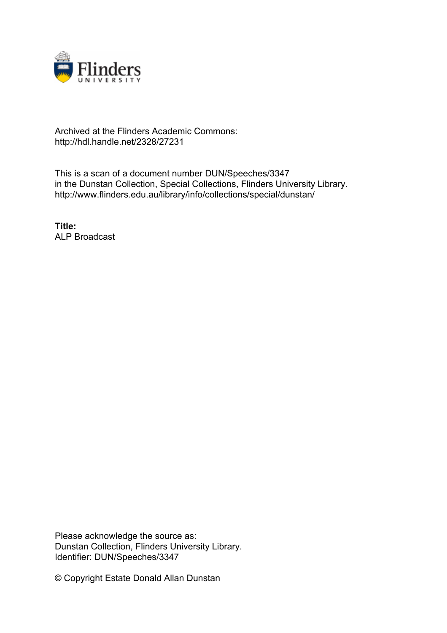

## Archived at the Flinders Academic Commons: http://hdl.handle.net/2328/27231

This is a scan of a document number DUN/Speeches/3347 in the Dunstan Collection, Special Collections, Flinders University Library. http://www.flinders.edu.au/library/info/collections/special/dunstan/

**Title:** ALP Broadcast

Please acknowledge the source as: Dunstan Collection, Flinders University Library. Identifier: DUN/Speeches/3347

© Copyright Estate Donald Allan Dunstan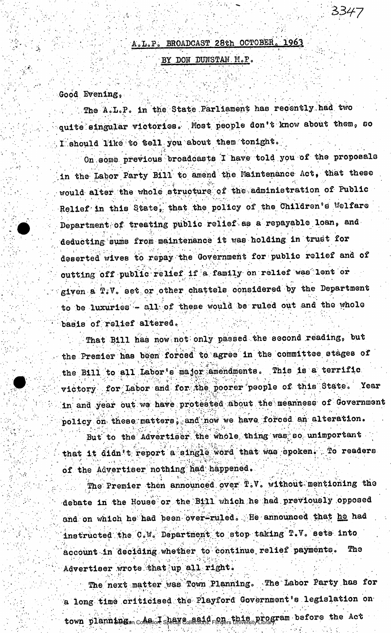## A.L.P. BROADCAST 28th OCTOBER. 1963

## BY DON DUNSTAN M.P.

Good Evening,

The A.L.P. in the State Parliament has recently had two quite singular victories. Most people don't know about them, so I should like to tell you about them tonight.

On some previous broadcasts I have told you of the proposals in the Labor Party Bill to amend the Maintenance Act, that these would alter the whole structure of the administration of Public Relief in this State, that the policy of the Children's Welfare Department of treating public relief as a repayable loan, and deducting sums from maintenance it was holding in trust for deserted wives to repay the Government for public relief and of outting off public relief if a family on relief was lent or given a T.V. set or other chattels considered by the Department to be luxuries - all of these would be ruled out and the whole basis of relief altered.

That Bill has now not only passed the second reading, but the Premier has been forced to agree in the committee stages of the B111 to all Labor's major amendments. This is a terrific victory for Labor and for the poorer people of this State. Year in and year out we have protested about the meanness of Government policy on these matters, and now we have forced an alteration.

But to the Advertiser the whole thing was so unimportant that it didn't report a single word that was spoken. To readers of the Advertiser nothing had happened.

The Premier then announced over T.V. without mentioning the debate in the House or the Bill which he had previously opposed and on which he had been over-ruled. He announced that he had instructed the C.W. Department to stop taking T.V. sets into account in deciding whether to continue relief payments. The Advertiser wrote that up all right.

The next matter was Town Planning. The Labor Party has for a long time criticised the Playford Government's legislation on town planning an constraint shear equal dependent interstitlends before the Act